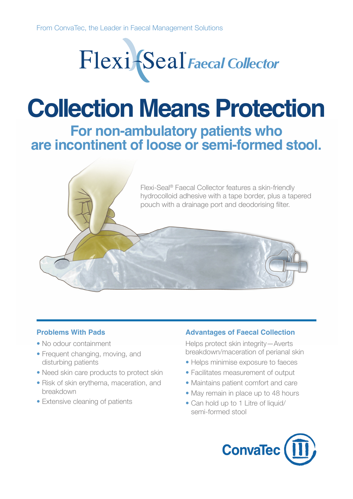

## **Collection Means Protection**

**For non-ambulatory patients who are incontinent of loose or semi-formed stool.**



### **Problems With Pads**

- No odour containment
- Frequent changing, moving, and disturbing patients
- Need skin care products to protect skin
- Risk of skin erythema, maceration, and breakdown
- Extensive cleaning of patients

### **Advantages of Faecal Collection**

Helps protect skin integrity—Averts breakdown/maceration of perianal skin

- Helps minimise exposure to faeces
- Facilitates measurement of output
- Maintains patient comfort and care
- May remain in place up to 48 hours
- Can hold up to 1 Litre of liquid/ semi-formed stool